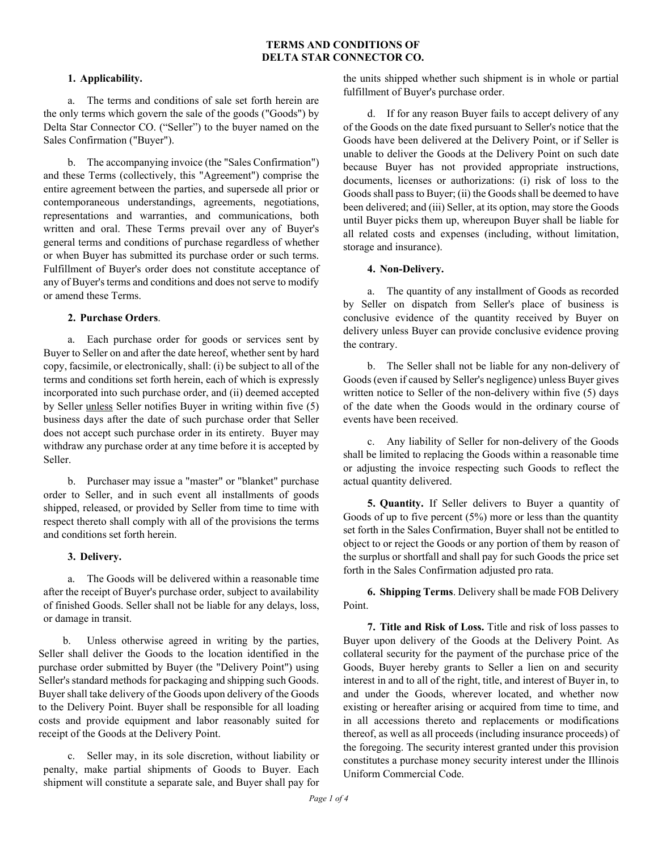# **TERMS AND CONDITIONS OF DELTA STAR CONNECTOR CO.**

## **1. Applicability.**

a. The terms and conditions of sale set forth herein are the only terms which govern the sale of the goods ("Goods") by Delta Star Connector CO. ("Seller") to the buyer named on the Sales Confirmation ("Buyer").

b. The accompanying invoice (the "Sales Confirmation") and these Terms (collectively, this "Agreement") comprise the entire agreement between the parties, and supersede all prior or contemporaneous understandings, agreements, negotiations, representations and warranties, and communications, both written and oral. These Terms prevail over any of Buyer's general terms and conditions of purchase regardless of whether or when Buyer has submitted its purchase order or such terms. Fulfillment of Buyer's order does not constitute acceptance of any of Buyer's terms and conditions and does not serve to modify or amend these Terms.

### **2. Purchase Orders**.

a. Each purchase order for goods or services sent by Buyer to Seller on and after the date hereof, whether sent by hard copy, facsimile, or electronically, shall: (i) be subject to all of the terms and conditions set forth herein, each of which is expressly incorporated into such purchase order, and (ii) deemed accepted by Seller unless Seller notifies Buyer in writing within five (5) business days after the date of such purchase order that Seller does not accept such purchase order in its entirety. Buyer may withdraw any purchase order at any time before it is accepted by Seller.

b. Purchaser may issue a "master" or "blanket" purchase order to Seller, and in such event all installments of goods shipped, released, or provided by Seller from time to time with respect thereto shall comply with all of the provisions the terms and conditions set forth herein.

# **3. Delivery.**

a. The Goods will be delivered within a reasonable time after the receipt of Buyer's purchase order, subject to availability of finished Goods. Seller shall not be liable for any delays, loss, or damage in transit.

b. Unless otherwise agreed in writing by the parties, Seller shall deliver the Goods to the location identified in the purchase order submitted by Buyer (the "Delivery Point") using Seller's standard methods for packaging and shipping such Goods. Buyer shall take delivery of the Goods upon delivery of the Goods to the Delivery Point. Buyer shall be responsible for all loading costs and provide equipment and labor reasonably suited for receipt of the Goods at the Delivery Point.

c. Seller may, in its sole discretion, without liability or penalty, make partial shipments of Goods to Buyer. Each shipment will constitute a separate sale, and Buyer shall pay for the units shipped whether such shipment is in whole or partial fulfillment of Buyer's purchase order.

d. If for any reason Buyer fails to accept delivery of any of the Goods on the date fixed pursuant to Seller's notice that the Goods have been delivered at the Delivery Point, or if Seller is unable to deliver the Goods at the Delivery Point on such date because Buyer has not provided appropriate instructions, documents, licenses or authorizations: (i) risk of loss to the Goods shall pass to Buyer; (ii) the Goods shall be deemed to have been delivered; and (iii) Seller, at its option, may store the Goods until Buyer picks them up, whereupon Buyer shall be liable for all related costs and expenses (including, without limitation, storage and insurance).

### **4. Non-Delivery.**

a. The quantity of any installment of Goods as recorded by Seller on dispatch from Seller's place of business is conclusive evidence of the quantity received by Buyer on delivery unless Buyer can provide conclusive evidence proving the contrary.

b. The Seller shall not be liable for any non-delivery of Goods (even if caused by Seller's negligence) unless Buyer gives written notice to Seller of the non-delivery within five (5) days of the date when the Goods would in the ordinary course of events have been received.

c. Any liability of Seller for non-delivery of the Goods shall be limited to replacing the Goods within a reasonable time or adjusting the invoice respecting such Goods to reflect the actual quantity delivered.

**5. Quantity.** If Seller delivers to Buyer a quantity of Goods of up to five percent  $(5%)$  more or less than the quantity set forth in the Sales Confirmation, Buyer shall not be entitled to object to or reject the Goods or any portion of them by reason of the surplus or shortfall and shall pay for such Goods the price set forth in the Sales Confirmation adjusted pro rata.

**6. Shipping Terms**. Delivery shall be made FOB Delivery Point.

**7. Title and Risk of Loss.** Title and risk of loss passes to Buyer upon delivery of the Goods at the Delivery Point. As collateral security for the payment of the purchase price of the Goods, Buyer hereby grants to Seller a lien on and security interest in and to all of the right, title, and interest of Buyer in, to and under the Goods, wherever located, and whether now existing or hereafter arising or acquired from time to time, and in all accessions thereto and replacements or modifications thereof, as well as all proceeds (including insurance proceeds) of the foregoing. The security interest granted under this provision constitutes a purchase money security interest under the Illinois Uniform Commercial Code.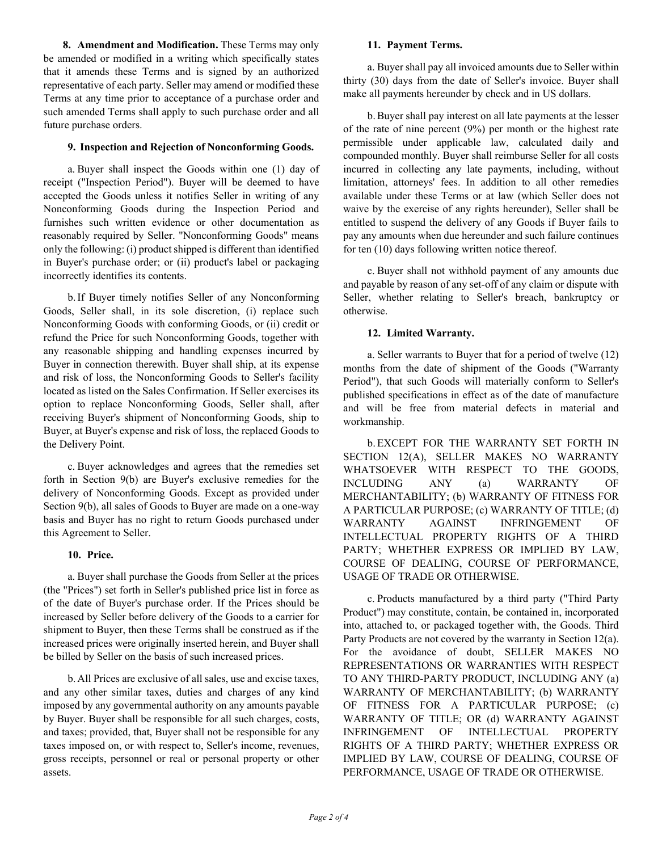**8. Amendment and Modification.** These Terms may only be amended or modified in a writing which specifically states that it amends these Terms and is signed by an authorized representative of each party. Seller may amend or modified these Terms at any time prior to acceptance of a purchase order and such amended Terms shall apply to such purchase order and all future purchase orders.

## **9. Inspection and Rejection of Nonconforming Goods.**

a. Buyer shall inspect the Goods within one (1) day of receipt ("Inspection Period"). Buyer will be deemed to have accepted the Goods unless it notifies Seller in writing of any Nonconforming Goods during the Inspection Period and furnishes such written evidence or other documentation as reasonably required by Seller. "Nonconforming Goods" means only the following: (i) product shipped is different than identified in Buyer's purchase order; or (ii) product's label or packaging incorrectly identifies its contents.

b.If Buyer timely notifies Seller of any Nonconforming Goods, Seller shall, in its sole discretion, (i) replace such Nonconforming Goods with conforming Goods, or (ii) credit or refund the Price for such Nonconforming Goods, together with any reasonable shipping and handling expenses incurred by Buyer in connection therewith. Buyer shall ship, at its expense and risk of loss, the Nonconforming Goods to Seller's facility located as listed on the Sales Confirmation. If Seller exercises its option to replace Nonconforming Goods, Seller shall, after receiving Buyer's shipment of Nonconforming Goods, ship to Buyer, at Buyer's expense and risk of loss, the replaced Goods to the Delivery Point.

c. Buyer acknowledges and agrees that the remedies set forth in Section 9(b) are Buyer's exclusive remedies for the delivery of Nonconforming Goods. Except as provided under Section 9(b), all sales of Goods to Buyer are made on a one-way basis and Buyer has no right to return Goods purchased under this Agreement to Seller.

# **10. Price.**

a. Buyer shall purchase the Goods from Seller at the prices (the "Prices") set forth in Seller's published price list in force as of the date of Buyer's purchase order. If the Prices should be increased by Seller before delivery of the Goods to a carrier for shipment to Buyer, then these Terms shall be construed as if the increased prices were originally inserted herein, and Buyer shall be billed by Seller on the basis of such increased prices.

b. All Prices are exclusive of all sales, use and excise taxes, and any other similar taxes, duties and charges of any kind imposed by any governmental authority on any amounts payable by Buyer. Buyer shall be responsible for all such charges, costs, and taxes; provided, that, Buyer shall not be responsible for any taxes imposed on, or with respect to, Seller's income, revenues, gross receipts, personnel or real or personal property or other assets.

### **11. Payment Terms.**

a. Buyer shall pay all invoiced amounts due to Seller within thirty (30) days from the date of Seller's invoice. Buyer shall make all payments hereunder by check and in US dollars.

b.Buyer shall pay interest on all late payments at the lesser of the rate of nine percent (9%) per month or the highest rate permissible under applicable law, calculated daily and compounded monthly. Buyer shall reimburse Seller for all costs incurred in collecting any late payments, including, without limitation, attorneys' fees. In addition to all other remedies available under these Terms or at law (which Seller does not waive by the exercise of any rights hereunder), Seller shall be entitled to suspend the delivery of any Goods if Buyer fails to pay any amounts when due hereunder and such failure continues for ten (10) days following written notice thereof.

c. Buyer shall not withhold payment of any amounts due and payable by reason of any set-off of any claim or dispute with Seller, whether relating to Seller's breach, bankruptcy or otherwise.

# **12. Limited Warranty.**

a. Seller warrants to Buyer that for a period of twelve (12) months from the date of shipment of the Goods ("Warranty Period"), that such Goods will materially conform to Seller's published specifications in effect as of the date of manufacture and will be free from material defects in material and workmanship.

b.EXCEPT FOR THE WARRANTY SET FORTH IN SECTION 12(A), SELLER MAKES NO WARRANTY WHATSOEVER WITH RESPECT TO THE GOODS, INCLUDING ANY (a) WARRANTY OF MERCHANTABILITY; (b) WARRANTY OF FITNESS FOR A PARTICULAR PURPOSE; (c) WARRANTY OF TITLE; (d) WARRANTY AGAINST INFRINGEMENT OF INTELLECTUAL PROPERTY RIGHTS OF A THIRD PARTY; WHETHER EXPRESS OR IMPLIED BY LAW, COURSE OF DEALING, COURSE OF PERFORMANCE, USAGE OF TRADE OR OTHERWISE.

c. Products manufactured by a third party ("Third Party Product") may constitute, contain, be contained in, incorporated into, attached to, or packaged together with, the Goods. Third Party Products are not covered by the warranty in Section 12(a). For the avoidance of doubt, SELLER MAKES NO REPRESENTATIONS OR WARRANTIES WITH RESPECT TO ANY THIRD-PARTY PRODUCT, INCLUDING ANY (a) WARRANTY OF MERCHANTABILITY; (b) WARRANTY OF FITNESS FOR A PARTICULAR PURPOSE; (c) WARRANTY OF TITLE; OR (d) WARRANTY AGAINST INFRINGEMENT OF INTELLECTUAL PROPERTY RIGHTS OF A THIRD PARTY; WHETHER EXPRESS OR IMPLIED BY LAW, COURSE OF DEALING, COURSE OF PERFORMANCE, USAGE OF TRADE OR OTHERWISE.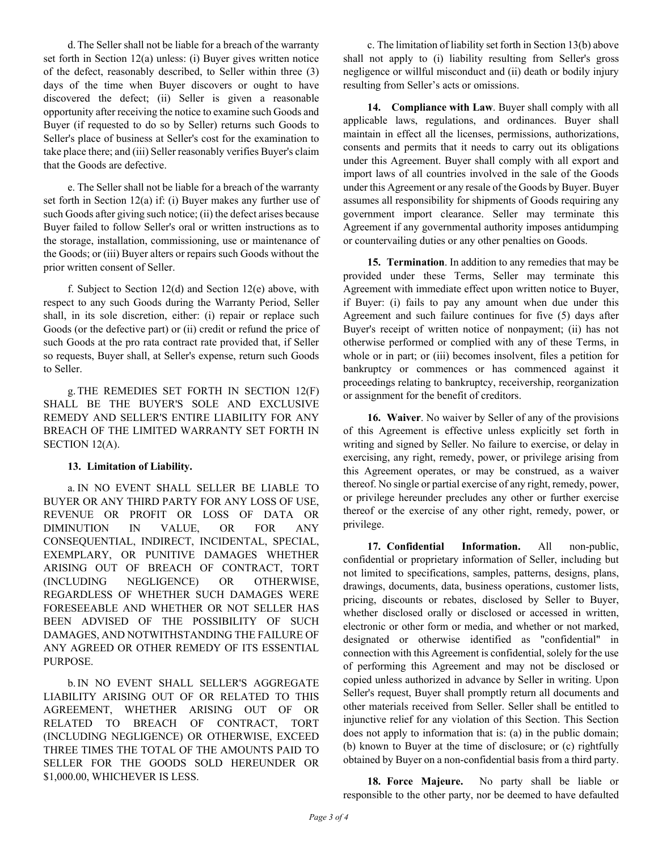d.The Seller shall not be liable for a breach of the warranty set forth in Section 12(a) unless: (i) Buyer gives written notice of the defect, reasonably described, to Seller within three (3) days of the time when Buyer discovers or ought to have discovered the defect; (ii) Seller is given a reasonable opportunity after receiving the notice to examine such Goods and Buyer (if requested to do so by Seller) returns such Goods to Seller's place of business at Seller's cost for the examination to take place there; and (iii) Seller reasonably verifies Buyer's claim that the Goods are defective.

e. The Seller shall not be liable for a breach of the warranty set forth in Section 12(a) if: (i) Buyer makes any further use of such Goods after giving such notice; (ii) the defect arises because Buyer failed to follow Seller's oral or written instructions as to the storage, installation, commissioning, use or maintenance of the Goods; or (iii) Buyer alters or repairs such Goods without the prior written consent of Seller.

f. Subject to Section 12(d) and Section 12(e) above, with respect to any such Goods during the Warranty Period, Seller shall, in its sole discretion, either: (i) repair or replace such Goods (or the defective part) or (ii) credit or refund the price of such Goods at the pro rata contract rate provided that, if Seller so requests, Buyer shall, at Seller's expense, return such Goods to Seller.

g.THE REMEDIES SET FORTH IN SECTION 12(F) SHALL BE THE BUYER'S SOLE AND EXCLUSIVE REMEDY AND SELLER'S ENTIRE LIABILITY FOR ANY BREACH OF THE LIMITED WARRANTY SET FORTH IN SECTION 12(A).

# **13. Limitation of Liability.**

a. IN NO EVENT SHALL SELLER BE LIABLE TO BUYER OR ANY THIRD PARTY FOR ANY LOSS OF USE, REVENUE OR PROFIT OR LOSS OF DATA OR DIMINUTION IN VALUE, OR FOR ANY CONSEQUENTIAL, INDIRECT, INCIDENTAL, SPECIAL, EXEMPLARY, OR PUNITIVE DAMAGES WHETHER ARISING OUT OF BREACH OF CONTRACT, TORT (INCLUDING NEGLIGENCE) OR OTHERWISE, REGARDLESS OF WHETHER SUCH DAMAGES WERE FORESEEABLE AND WHETHER OR NOT SELLER HAS BEEN ADVISED OF THE POSSIBILITY OF SUCH DAMAGES, AND NOTWITHSTANDING THE FAILURE OF ANY AGREED OR OTHER REMEDY OF ITS ESSENTIAL PURPOSE.

b.IN NO EVENT SHALL SELLER'S AGGREGATE LIABILITY ARISING OUT OF OR RELATED TO THIS AGREEMENT, WHETHER ARISING OUT OF OR RELATED TO BREACH OF CONTRACT, TORT (INCLUDING NEGLIGENCE) OR OTHERWISE, EXCEED THREE TIMES THE TOTAL OF THE AMOUNTS PAID TO SELLER FOR THE GOODS SOLD HEREUNDER OR \$1,000.00, WHICHEVER IS LESS.

c. The limitation of liability set forth in Section 13(b) above shall not apply to (i) liability resulting from Seller's gross negligence or willful misconduct and (ii) death or bodily injury resulting from Seller's acts or omissions.

**14. Compliance with Law**. Buyer shall comply with all applicable laws, regulations, and ordinances. Buyer shall maintain in effect all the licenses, permissions, authorizations, consents and permits that it needs to carry out its obligations under this Agreement. Buyer shall comply with all export and import laws of all countries involved in the sale of the Goods under this Agreement or any resale of the Goods by Buyer. Buyer assumes all responsibility for shipments of Goods requiring any government import clearance. Seller may terminate this Agreement if any governmental authority imposes antidumping or countervailing duties or any other penalties on Goods.

**15. Termination**. In addition to any remedies that may be provided under these Terms, Seller may terminate this Agreement with immediate effect upon written notice to Buyer, if Buyer: (i) fails to pay any amount when due under this Agreement and such failure continues for five (5) days after Buyer's receipt of written notice of nonpayment; (ii) has not otherwise performed or complied with any of these Terms, in whole or in part; or (iii) becomes insolvent, files a petition for bankruptcy or commences or has commenced against it proceedings relating to bankruptcy, receivership, reorganization or assignment for the benefit of creditors.

**16. Waiver**. No waiver by Seller of any of the provisions of this Agreement is effective unless explicitly set forth in writing and signed by Seller. No failure to exercise, or delay in exercising, any right, remedy, power, or privilege arising from this Agreement operates, or may be construed, as a waiver thereof. No single or partial exercise of any right, remedy, power, or privilege hereunder precludes any other or further exercise thereof or the exercise of any other right, remedy, power, or privilege.

**17. Confidential Information.** All non-public, confidential or proprietary information of Seller, including but not limited to specifications, samples, patterns, designs, plans, drawings, documents, data, business operations, customer lists, pricing, discounts or rebates, disclosed by Seller to Buyer, whether disclosed orally or disclosed or accessed in written, electronic or other form or media, and whether or not marked, designated or otherwise identified as "confidential" in connection with this Agreement is confidential, solely for the use of performing this Agreement and may not be disclosed or copied unless authorized in advance by Seller in writing. Upon Seller's request, Buyer shall promptly return all documents and other materials received from Seller. Seller shall be entitled to injunctive relief for any violation of this Section. This Section does not apply to information that is: (a) in the public domain; (b) known to Buyer at the time of disclosure; or (c) rightfully obtained by Buyer on a non-confidential basis from a third party.

**18. Force Majeure.** No party shall be liable or responsible to the other party, nor be deemed to have defaulted